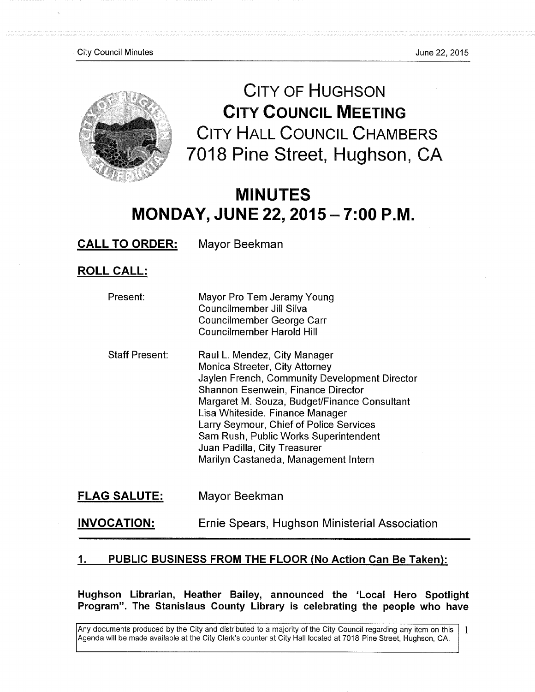

**CITY OF HUGHSON CITY COUNCIL MEETING**  CITY HALL COUNCIL CHAMBERS 7018 Pine Street, Hughson, CA

# MINUTES **MONDAY, JUNE22, 2015-7:00 P.M.**

**CALL TO ORDER:** Mayor Beekman

**ROLL CALL:** 

| Present:              | Mayor Pro Tem Jeramy Young<br>Councilmember Jill Silva<br>Councilmember George Carr<br><b>Councilmember Harold Hill</b>                                                                                                                                                                                                                                                                              |
|-----------------------|------------------------------------------------------------------------------------------------------------------------------------------------------------------------------------------------------------------------------------------------------------------------------------------------------------------------------------------------------------------------------------------------------|
| <b>Staff Present:</b> | Raul L. Mendez, City Manager<br>Monica Streeter, City Attorney<br>Jaylen French, Community Development Director<br>Shannon Esenwein, Finance Director<br>Margaret M. Souza, Budget/Finance Consultant<br>Lisa Whiteside. Finance Manager<br>Larry Seymour, Chief of Police Services<br>Sam Rush, Public Works Superintendent<br>Juan Padilla, City Treasurer<br>Marilyn Castaneda, Management Intern |

**FLAG SALUTE:** Mayor Beekman

**INVOCATION:**  Ernie Spears, Hughson Ministerial Association

# **1 • PUBLIC BUSINESS FROM THE FLOOR (No Action Can Be Taken):**

**Hughson Librarian, Heather Bailey, announced the 'Local Hero Spotlight Program". The Stanislaus County Library is celebrating the people who have** 

Any documents produced by the City and distributed to a majority of the City Council regarding any item on this Agenda will be made available at the City Clerk's counter at City Hall located at 7018 Pine Street, Hughson, CA. 1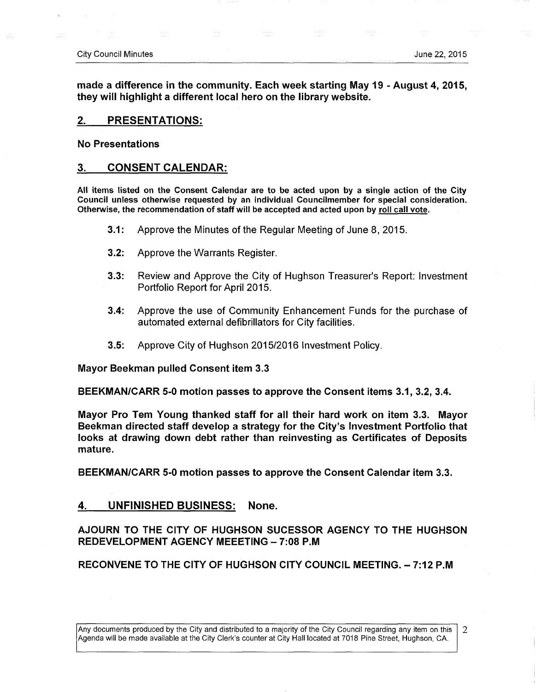**made a difference in the community. Each week starting May 19 - August 4, 2015, they will highlight** a **different local hero on the library website.** 

### **2. PRESENTATIONS:**

**No Presentations** 

### **3. CONSENT CALENDAR:**

**All items listed on the Consent Calendar are to be acted upon by a single action of the City Council unless otherwise requested by an Individual Councilmember for special consideration. Otherwise, the recommendation of staff will be accepted and acted upon by roll call vote.** 

- **3.1:** Approve the Minutes of the Regular Meeting of June 8, 2015.
- **3.2:** Approve the Warrants Register.
- **3.3:** Review and Approve the City of Hughson Treasurer's Report: Investment Portfolio Report for April 2015.
- **3.4:** Approve the use of Community Enhancement Funds for the purchase of automated external defibrillators for City facilities.
- **3.5:** Approve City of Hughson 2015/2016 Investment Policy.

**Mayor Beekman pulled Consent item 3.3** 

**BEEKMAN/CARR 5-0 motion passes to approve the Consent items 3.1, 3.2, 3.4.** 

**Mayor Pro Tem Young thanked staff for all their hard work on item 3.3. Mayor Beekman directed staff develop a strategy for the City's Investment Portfolio that looks at drawing down debt rather than reinvesting as Certificates of Deposits mature.** 

**BEEKMAN/CARR 5-0 motion passes to approve the Consent Calendar item 3.3.** 

### **4. UNFINISHED BUSINESS: None.**

## **AJOURN TO THE CITY OF HUGHSON SUCESSOR AGENCY TO THE HUGHSON REDEVELOPMENT AGENCY MEEETING - 7:08 P.M.**

**RECONVENE TO THE CITY OF HUGHSON CITY COUNCIL MEETING. - 7:12 P.M** 

Any documents produced by the City and distributed to a majority of the City Council regarding any item on this 2 Agenda will be made available at the City Clerl<'s counter at City Hall located at 7018 Pine Street, Hughson, CA.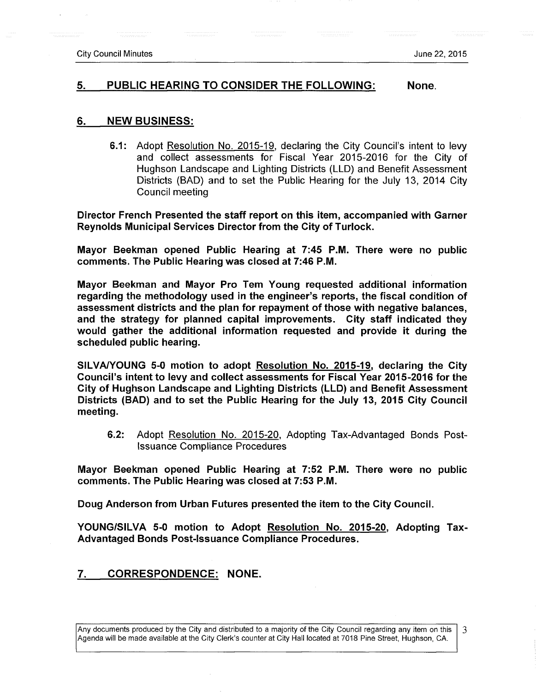#### **5. PUBLIC HEARING TO CONSIDER THE FOLLOWING: None.**

#### **6. NEW BUSINESS:**

**6.1:** Adopt Resolution No. 2015-19. declaring the City Council's intent to levy and collect assessments for Fiscal Year 2015-2016 for the City of Hughson Landscape and Lighting Districts (LLD) and Benefit Assessment Districts (BAD) and to set the Public Hearing for the July 13, 2014 City Council meeting

**Director French Presented the staff report on this item, accompanied with Garner Reynolds Municipal Services Director from the City of Turlock.** 

**Mayor Beekman opened Public Hearing at 7:45 P.M. There were no public comments. The Public Hearing was closed at 7:46 P.M.** 

**Mayor Beekman and Mayor Pro Tem Young requested additional information regarding the methodology used in the engineer's reports, the fiscal condition of assessment districts and the plan for repayment of those with negative balances, and the strategy for planned capital improvements. City staff indicated they would gather the additional information requested and provide it during the scheduled public hearing.** 

**SILVA/YOUNG 5-0 motion to adopt Resolution No. 2015-19. declaring the City Council's intent to levy and collect assessments for Fiscal Year 2015-2016 for the City of Hughson Landscape and Lighting Districts (LLD) and Benefit Assessment Districts (BAD) and to set the Public Hearing for the July 13, 2015 City Council meeting.** 

**6.2:** Adopt Resolution No. 2015-20. Adopting Tax-Advantaged Bonds Post-Issuance Compliance Procedures

**Mayor Beekman opened Public Hearing at 7:52 P.M. There were no public comments. The Public Hearing was closed at 7:53 P.M.** 

**Doug Anderson from Urban Futures presented the item to the City Council.** 

**YOUNG/SILVA 5-0 motion to Adopt Resolution No. 2015-20. Adopting Tax-Advantaged Bonds Post-Issuance Compliance Procedures.** 

### **7. CORRESPONDENCE: NONE.**

Any documents produced by the City and distributed to a majority of the City Council regarding any item on this 3 Agenda will be made available at the City Clerk's counter at City Hall located at 7018 Pine Street, Hughson, CA.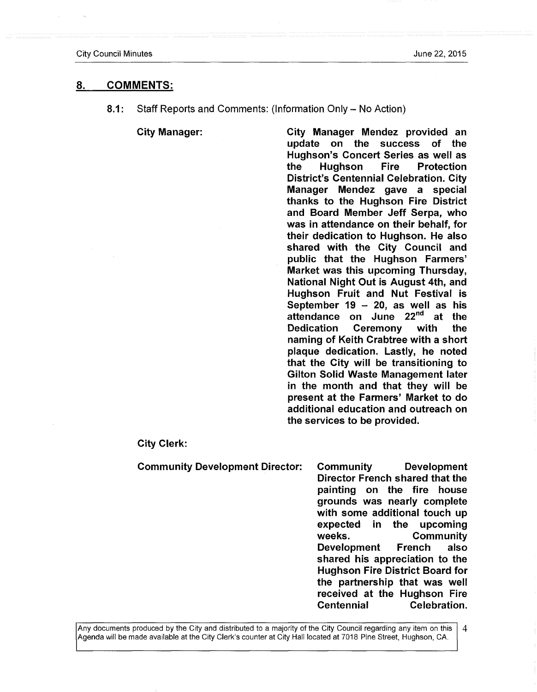#### **8. COMMENTS:**

**8.1:** Staff Reports and Comments: (Information Only – No Action)

**City Manager: City Manager Mendez provided an**  update on the success of the **Hughson's Concert Series as well as the Hughson Fire Protection District's Centennial Celebration. City Manager Mendez gave a special thanks to the Hughson Fire District and Board Member Jeff Serpa, who was in attendance on their behalf, for their dedication to Hughson. He also shared with the City Council and public that the Hughson Farmers' Market was this upcoming Thursday, National Night Out is August 4th, and Hughson Fruit and Nut Festival is September 19 - 20, as well as his**  attendance on June 22<sup>nd</sup> at the **Dedication Ceremony with the naming of Keith Crabtree with a short plaque dedication. Lastly, he noted that the City will be transitioning to Gilton Solid Waste Management later in the month and that they will be present at the Farmers' Market to do additional education and outreach on the services to be provided.** 

#### **City Clerk:**

**Community Development Director: Community Development** 

**Director French shared that the painting on the fire house grounds was nearly complete with some additional touch up expected in the upcoming weeks. Community Development French also shared his appreciation to the Hughson Fire District Board for the partnership that was well received at the Hughson Fire Centennial Celebration.** 

Any documents produced by the City and distributed to a majority of the City Council regarding any item on this  $\overline{4}$ Agenda will be made available at the City Clerk's counter at City Hall located at 7018 Pine Street, Hughson, CA.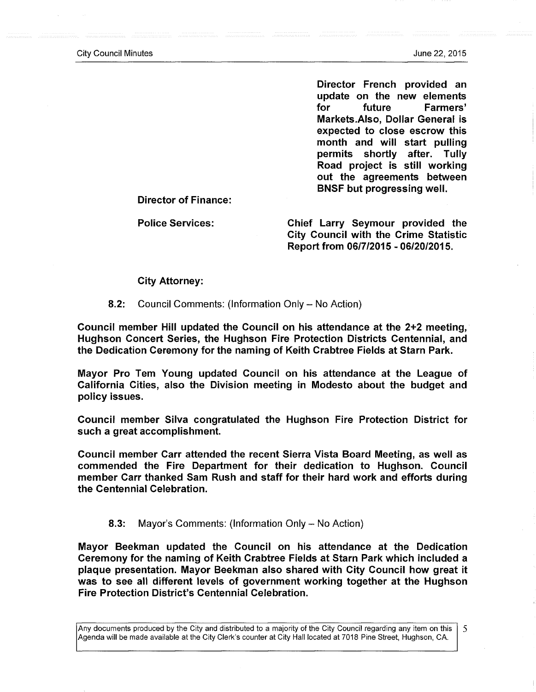**Director French provided an update on tfie new elements for future Farmers' Markets.Also, Dollar General is expected to close escrow this month and will start pulling permits shortly after. Tully Road project is still working out the agreements between BNSF but progressing well.** 

**Director of Finance:** 

**Police Services: Chief Larry Seymour provided the City Council with the Crime Statistic Report from 06/7/2015 - 06/20/2015.** 

#### **City Attorney:**

**8.2:** Council Comments: (Information Only - No Action)

**Council member Hill updated the Council on his attendance at the 2+2 meeting, Hughson Concert Series, the Hughson Fire Protection Districts Centennial, and the Dedication Ceremony for the naming of Keith Crabtree Fields at Starn Park.** 

**IVIayor Pro Tem Young updated Council on his attendance at the League of California Cities, also the Division meeting in Modesto about the budget and policy issues.** 

**Council member Silva congratulated the Hughson Fire Protection District for such a great accomplishment.** 

**Council member Carr attended the recent Sierra Vista Board Meeting, as well as commended the Fire Department for their dedication to Hughson. Council member Carr thanked Sam Rush and staff for their hard work and efforts during the Centennial Celebration.** 

#### **8.3:** Mayor's Comments: (Information Only - No Action)

**Mayor Beekman updated the Council on his attendance at the Dedication Ceremony for the naming of Keith Crabtree Fields at Starn Park which included a plaque presentation. Mayor Beekman also shared with City Council how great it was to see all different levels of government working together at the Hughson Fire Protection District's Centennial Celebration.** 

Any documents produced by the City and distributed to a majority of the City Council regarding any item on this 5 Agenda will be made available at the City Clerk's counter at City Hall located at 7018 Pine Street, Hughson, CA.